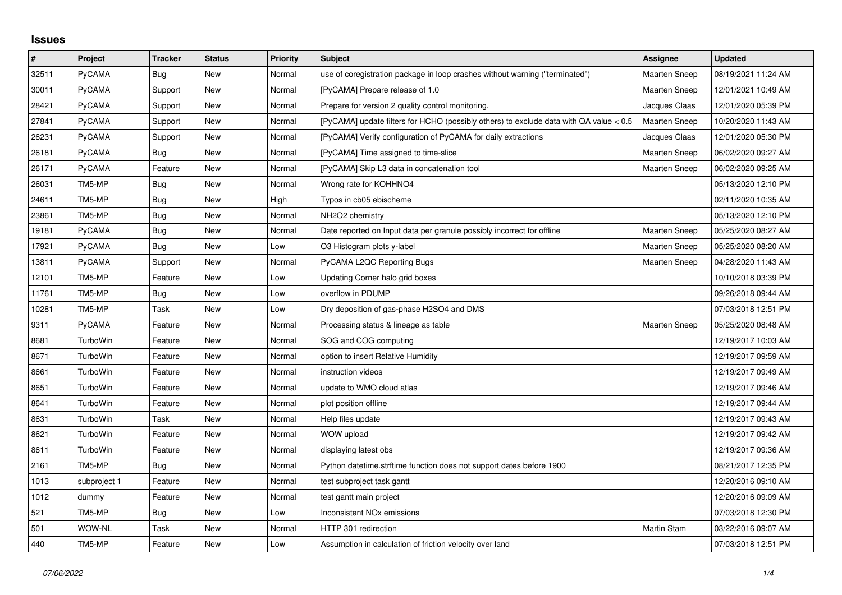## **Issues**

| $\pmb{\#}$ | Project      | <b>Tracker</b> | <b>Status</b> | <b>Priority</b> | <b>Subject</b>                                                                         | Assignee             | <b>Updated</b>      |
|------------|--------------|----------------|---------------|-----------------|----------------------------------------------------------------------------------------|----------------------|---------------------|
| 32511      | PyCAMA       | Bug            | New           | Normal          | use of coregistration package in loop crashes without warning ("terminated")           | <b>Maarten Sneep</b> | 08/19/2021 11:24 AM |
| 30011      | PyCAMA       | Support        | New           | Normal          | [PyCAMA] Prepare release of 1.0                                                        | <b>Maarten Sneep</b> | 12/01/2021 10:49 AM |
| 28421      | PyCAMA       | Support        | New           | Normal          | Prepare for version 2 quality control monitoring.                                      | Jacques Claas        | 12/01/2020 05:39 PM |
| 27841      | PyCAMA       | Support        | <b>New</b>    | Normal          | [PyCAMA] update filters for HCHO (possibly others) to exclude data with QA value < 0.5 | Maarten Sneep        | 10/20/2020 11:43 AM |
| 26231      | PyCAMA       | Support        | New           | Normal          | [PyCAMA] Verify configuration of PyCAMA for daily extractions                          | Jacques Claas        | 12/01/2020 05:30 PM |
| 26181      | PyCAMA       | Bug            | New           | Normal          | [PyCAMA] Time assigned to time-slice                                                   | <b>Maarten Sneep</b> | 06/02/2020 09:27 AM |
| 26171      | PyCAMA       | Feature        | <b>New</b>    | Normal          | [PyCAMA] Skip L3 data in concatenation tool                                            | Maarten Sneep        | 06/02/2020 09:25 AM |
| 26031      | TM5-MP       | Bug            | New           | Normal          | Wrong rate for KOHHNO4                                                                 |                      | 05/13/2020 12:10 PM |
| 24611      | TM5-MP       | <b>Bug</b>     | New           | High            | Typos in cb05 ebischeme                                                                |                      | 02/11/2020 10:35 AM |
| 23861      | TM5-MP       | Bug            | New           | Normal          | NH2O2 chemistry                                                                        |                      | 05/13/2020 12:10 PM |
| 19181      | PyCAMA       | Bug            | New           | Normal          | Date reported on Input data per granule possibly incorrect for offline                 | Maarten Sneep        | 05/25/2020 08:27 AM |
| 17921      | PyCAMA       | <b>Bug</b>     | New           | Low             | O3 Histogram plots y-label                                                             | <b>Maarten Sneep</b> | 05/25/2020 08:20 AM |
| 13811      | PyCAMA       | Support        | New           | Normal          | PyCAMA L2QC Reporting Bugs                                                             | <b>Maarten Sneep</b> | 04/28/2020 11:43 AM |
| 12101      | TM5-MP       | Feature        | New           | Low             | Updating Corner halo grid boxes                                                        |                      | 10/10/2018 03:39 PM |
| 11761      | TM5-MP       | <b>Bug</b>     | New           | Low             | overflow in PDUMP                                                                      |                      | 09/26/2018 09:44 AM |
| 10281      | TM5-MP       | Task           | New           | Low             | Dry deposition of gas-phase H2SO4 and DMS                                              |                      | 07/03/2018 12:51 PM |
| 9311       | PyCAMA       | Feature        | New           | Normal          | Processing status & lineage as table                                                   | <b>Maarten Sneep</b> | 05/25/2020 08:48 AM |
| 8681       | TurboWin     | Feature        | New           | Normal          | SOG and COG computing                                                                  |                      | 12/19/2017 10:03 AM |
| 8671       | TurboWin     | Feature        | New           | Normal          | option to insert Relative Humidity                                                     |                      | 12/19/2017 09:59 AM |
| 8661       | TurboWin     | Feature        | New           | Normal          | instruction videos                                                                     |                      | 12/19/2017 09:49 AM |
| 8651       | TurboWin     | Feature        | New           | Normal          | update to WMO cloud atlas                                                              |                      | 12/19/2017 09:46 AM |
| 8641       | TurboWin     | Feature        | New           | Normal          | plot position offline                                                                  |                      | 12/19/2017 09:44 AM |
| 8631       | TurboWin     | Task           | New           | Normal          | Help files update                                                                      |                      | 12/19/2017 09:43 AM |
| 8621       | TurboWin     | Feature        | New           | Normal          | WOW upload                                                                             |                      | 12/19/2017 09:42 AM |
| 8611       | TurboWin     | Feature        | New           | Normal          | displaying latest obs                                                                  |                      | 12/19/2017 09:36 AM |
| 2161       | TM5-MP       | Bug            | New           | Normal          | Python datetime.strftime function does not support dates before 1900                   |                      | 08/21/2017 12:35 PM |
| 1013       | subproject 1 | Feature        | New           | Normal          | test subproject task gantt                                                             |                      | 12/20/2016 09:10 AM |
| 1012       | dummy        | Feature        | New           | Normal          | test gantt main project                                                                |                      | 12/20/2016 09:09 AM |
| 521        | TM5-MP       | Bug            | New           | Low             | Inconsistent NO <sub>x</sub> emissions                                                 |                      | 07/03/2018 12:30 PM |
| 501        | WOW-NL       | Task           | New           | Normal          | HTTP 301 redirection                                                                   | Martin Stam          | 03/22/2016 09:07 AM |
| 440        | TM5-MP       | Feature        | <b>New</b>    | Low             | Assumption in calculation of friction velocity over land                               |                      | 07/03/2018 12:51 PM |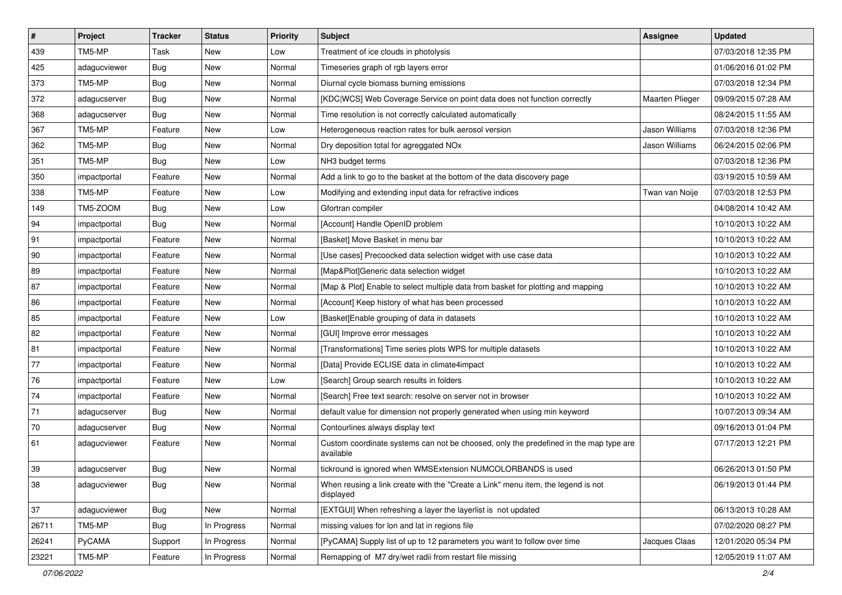| $\sharp$     | Project      | <b>Tracker</b> | <b>Status</b> | <b>Priority</b> | Subject                                                                                            | Assignee               | <b>Updated</b>      |
|--------------|--------------|----------------|---------------|-----------------|----------------------------------------------------------------------------------------------------|------------------------|---------------------|
| 439          | TM5-MP       | Task           | New           | Low             | Treatment of ice clouds in photolysis                                                              |                        | 07/03/2018 12:35 PM |
| 425          | adagucviewer | <b>Bug</b>     | New           | Normal          | Timeseries graph of rgb layers error                                                               |                        | 01/06/2016 01:02 PM |
| 373          | TM5-MP       | <b>Bug</b>     | New           | Normal          | Diurnal cycle biomass burning emissions                                                            |                        | 07/03/2018 12:34 PM |
| 372          | adagucserver | Bug            | New           | Normal          | [KDC WCS] Web Coverage Service on point data does not function correctly                           | <b>Maarten Plieger</b> | 09/09/2015 07:28 AM |
| 368          | adagucserver | Bug            | New           | Normal          | Time resolution is not correctly calculated automatically                                          |                        | 08/24/2015 11:55 AM |
| 367          | TM5-MP       | Feature        | New           | Low             | Heterogeneous reaction rates for bulk aerosol version                                              | Jason Williams         | 07/03/2018 12:36 PM |
| 362          | TM5-MP       | <b>Bug</b>     | New           | Normal          | Dry deposition total for agreggated NOx                                                            | Jason Williams         | 06/24/2015 02:06 PM |
| 351          | TM5-MP       | <b>Bug</b>     | New           | Low             | NH3 budget terms                                                                                   |                        | 07/03/2018 12:36 PM |
| 350          | impactportal | Feature        | New           | Normal          | Add a link to go to the basket at the bottom of the data discovery page                            |                        | 03/19/2015 10:59 AM |
| 338          | TM5-MP       | Feature        | New           | Low             | Modifying and extending input data for refractive indices                                          | Twan van Noije         | 07/03/2018 12:53 PM |
| 149          | TM5-ZOOM     | <b>Bug</b>     | New           | Low             | Gfortran compiler                                                                                  |                        | 04/08/2014 10:42 AM |
| 94           | impactportal | <b>Bug</b>     | New           | Normal          | [Account] Handle OpenID problem                                                                    |                        | 10/10/2013 10:22 AM |
| 91           | impactportal | Feature        | <b>New</b>    | Normal          | [Basket] Move Basket in menu bar                                                                   |                        | 10/10/2013 10:22 AM |
| $ 90\rangle$ | impactportal | Feature        | New           | Normal          | [Use cases] Precoocked data selection widget with use case data                                    |                        | 10/10/2013 10:22 AM |
| 89           | impactportal | Feature        | <b>New</b>    | Normal          | [Map&Plot]Generic data selection widget                                                            |                        | 10/10/2013 10:22 AM |
| 87           | impactportal | Feature        | New           | Normal          | [Map & Plot] Enable to select multiple data from basket for plotting and mapping                   |                        | 10/10/2013 10:22 AM |
| 86           | impactportal | Feature        | New           | Normal          | [Account] Keep history of what has been processed                                                  |                        | 10/10/2013 10:22 AM |
| 85           | impactportal | Feature        | New           | Low             | [Basket]Enable grouping of data in datasets                                                        |                        | 10/10/2013 10:22 AM |
| 82           | impactportal | Feature        | New           | Normal          | [GUI] Improve error messages                                                                       |                        | 10/10/2013 10:22 AM |
| 81           | impactportal | Feature        | New           | Normal          | [Transformations] Time series plots WPS for multiple datasets                                      |                        | 10/10/2013 10:22 AM |
| 77           | impactportal | Feature        | New           | Normal          | [Data] Provide ECLISE data in climate4impact                                                       |                        | 10/10/2013 10:22 AM |
| 76           | impactportal | Feature        | New           | Low             | [Search] Group search results in folders                                                           |                        | 10/10/2013 10:22 AM |
| 74           | impactportal | Feature        | New           | Normal          | [Search] Free text search: resolve on server not in browser                                        |                        | 10/10/2013 10:22 AM |
| $71$         | adagucserver | <b>Bug</b>     | New           | Normal          | default value for dimension not properly generated when using min keyword                          |                        | 10/07/2013 09:34 AM |
| 70           | adagucserver | <b>Bug</b>     | New           | Normal          | Contourlines always display text                                                                   |                        | 09/16/2013 01:04 PM |
| 61           | adagucviewer | Feature        | New           | Normal          | Custom coordinate systems can not be choosed, only the predefined in the map type are<br>available |                        | 07/17/2013 12:21 PM |
| 39           | adagucserver | <b>Bug</b>     | New           | Normal          | tickround is ignored when WMSExtension NUMCOLORBANDS is used                                       |                        | 06/26/2013 01:50 PM |
| 38           | adagucviewer | Bug            | New           | Normal          | When reusing a link create with the "Create a Link" menu item, the legend is not<br>displayed      |                        | 06/19/2013 01:44 PM |
| 37           | adagucviewer | Bug            | New           | Normal          | [EXTGUI] When refreshing a layer the layerlist is not updated                                      |                        | 06/13/2013 10:28 AM |
| 26711        | TM5-MP       | <b>Bug</b>     | In Progress   | Normal          | missing values for lon and lat in regions file                                                     |                        | 07/02/2020 08:27 PM |
| 26241        | PyCAMA       | Support        | In Progress   | Normal          | [PyCAMA] Supply list of up to 12 parameters you want to follow over time                           | Jacques Claas          | 12/01/2020 05:34 PM |
| 23221        | TM5-MP       | Feature        | In Progress   | Normal          | Remapping of M7 dry/wet radii from restart file missing                                            |                        | 12/05/2019 11:07 AM |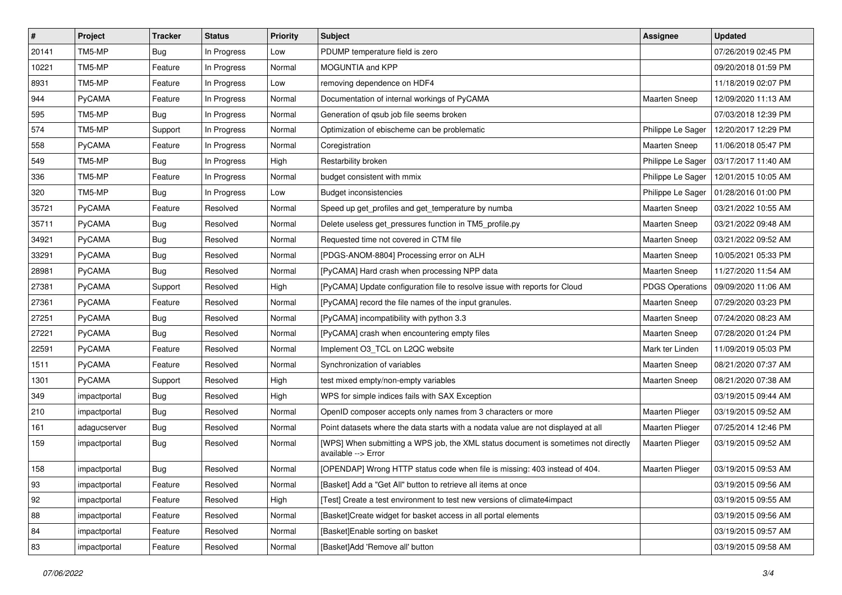| #     | Project       | <b>Tracker</b> | <b>Status</b> | <b>Priority</b> | Subject                                                                                                   | Assignee               | <b>Updated</b>      |
|-------|---------------|----------------|---------------|-----------------|-----------------------------------------------------------------------------------------------------------|------------------------|---------------------|
| 20141 | TM5-MP        | <b>Bug</b>     | In Progress   | Low             | PDUMP temperature field is zero                                                                           |                        | 07/26/2019 02:45 PM |
| 10221 | TM5-MP        | Feature        | In Progress   | Normal          | MOGUNTIA and KPP                                                                                          |                        | 09/20/2018 01:59 PM |
| 8931  | TM5-MP        | Feature        | In Progress   | Low             | removing dependence on HDF4                                                                               |                        | 11/18/2019 02:07 PM |
| 944   | PyCAMA        | Feature        | In Progress   | Normal          | Documentation of internal workings of PyCAMA                                                              | <b>Maarten Sneep</b>   | 12/09/2020 11:13 AM |
| 595   | TM5-MP        | <b>Bug</b>     | In Progress   | Normal          | Generation of qsub job file seems broken                                                                  |                        | 07/03/2018 12:39 PM |
| 574   | TM5-MP        | Support        | In Progress   | Normal          | Optimization of ebischeme can be problematic                                                              | Philippe Le Sager      | 12/20/2017 12:29 PM |
| 558   | PyCAMA        | Feature        | In Progress   | Normal          | Coregistration                                                                                            | <b>Maarten Sneep</b>   | 11/06/2018 05:47 PM |
| 549   | TM5-MP        | <b>Bug</b>     | In Progress   | High            | Restarbility broken                                                                                       | Philippe Le Sager      | 03/17/2017 11:40 AM |
| 336   | TM5-MP        | Feature        | In Progress   | Normal          | budget consistent with mmix                                                                               | Philippe Le Sager      | 12/01/2015 10:05 AM |
| 320   | TM5-MP        | Bug            | In Progress   | Low             | <b>Budget inconsistencies</b>                                                                             | Philippe Le Sager      | 01/28/2016 01:00 PM |
| 35721 | PyCAMA        | Feature        | Resolved      | Normal          | Speed up get profiles and get temperature by numba                                                        | <b>Maarten Sneep</b>   | 03/21/2022 10:55 AM |
| 35711 | PyCAMA        | <b>Bug</b>     | Resolved      | Normal          | Delete useless get_pressures function in TM5_profile.py                                                   | <b>Maarten Sneep</b>   | 03/21/2022 09:48 AM |
| 34921 | PyCAMA        | <b>Bug</b>     | Resolved      | Normal          | Requested time not covered in CTM file                                                                    | Maarten Sneep          | 03/21/2022 09:52 AM |
| 33291 | PyCAMA        | Bug            | Resolved      | Normal          | [PDGS-ANOM-8804] Processing error on ALH                                                                  | <b>Maarten Sneep</b>   | 10/05/2021 05:33 PM |
| 28981 | PyCAMA        | Bug            | Resolved      | Normal          | [PyCAMA] Hard crash when processing NPP data                                                              | Maarten Sneep          | 11/27/2020 11:54 AM |
| 27381 | <b>PyCAMA</b> | Support        | Resolved      | High            | [PyCAMA] Update configuration file to resolve issue with reports for Cloud                                | <b>PDGS Operations</b> | 09/09/2020 11:06 AM |
| 27361 | <b>PyCAMA</b> | Feature        | Resolved      | Normal          | [PyCAMA] record the file names of the input granules.                                                     | Maarten Sneep          | 07/29/2020 03:23 PM |
| 27251 | <b>PyCAMA</b> | <b>Bug</b>     | Resolved      | Normal          | [PyCAMA] incompatibility with python 3.3                                                                  | Maarten Sneep          | 07/24/2020 08:23 AM |
| 27221 | PyCAMA        | <b>Bug</b>     | Resolved      | Normal          | [PyCAMA] crash when encountering empty files                                                              | Maarten Sneep          | 07/28/2020 01:24 PM |
| 22591 | PyCAMA        | Feature        | Resolved      | Normal          | Implement O3_TCL on L2QC website                                                                          | Mark ter Linden        | 11/09/2019 05:03 PM |
| 1511  | <b>PyCAMA</b> | Feature        | Resolved      | Normal          | Synchronization of variables                                                                              | <b>Maarten Sneep</b>   | 08/21/2020 07:37 AM |
| 1301  | <b>PyCAMA</b> | Support        | Resolved      | High            | test mixed empty/non-empty variables                                                                      | <b>Maarten Sneep</b>   | 08/21/2020 07:38 AM |
| 349   | impactportal  | <b>Bug</b>     | Resolved      | High            | WPS for simple indices fails with SAX Exception                                                           |                        | 03/19/2015 09:44 AM |
| 210   | impactportal  | Bug            | Resolved      | Normal          | OpenID composer accepts only names from 3 characters or more                                              | Maarten Plieger        | 03/19/2015 09:52 AM |
| 161   | adagucserver  | <b>Bug</b>     | Resolved      | Normal          | Point datasets where the data starts with a nodata value are not displayed at all                         | <b>Maarten Plieger</b> | 07/25/2014 12:46 PM |
| 159   | impactportal  | Bug            | Resolved      | Normal          | [WPS] When submitting a WPS job, the XML status document is sometimes not directly<br>available --> Error | Maarten Plieger        | 03/19/2015 09:52 AM |
| 158   | impactportal  | Bug            | Resolved      | Normal          | [OPENDAP] Wrong HTTP status code when file is missing: 403 instead of 404.                                | Maarten Plieger        | 03/19/2015 09:53 AM |
| 93    | impactportal  | Feature        | Resolved      | Normal          | [Basket] Add a "Get All" button to retrieve all items at once                                             |                        | 03/19/2015 09:56 AM |
| 92    | impactportal  | Feature        | Resolved      | High            | [Test] Create a test environment to test new versions of climate4impact                                   |                        | 03/19/2015 09:55 AM |
| 88    | impactportal  | Feature        | Resolved      | Normal          | [Basket]Create widget for basket access in all portal elements                                            |                        | 03/19/2015 09:56 AM |
| 84    | impactportal  | Feature        | Resolved      | Normal          | [Basket]Enable sorting on basket                                                                          |                        | 03/19/2015 09:57 AM |
| 83    | impactportal  | Feature        | Resolved      | Normal          | [Basket]Add 'Remove all' button                                                                           |                        | 03/19/2015 09:58 AM |